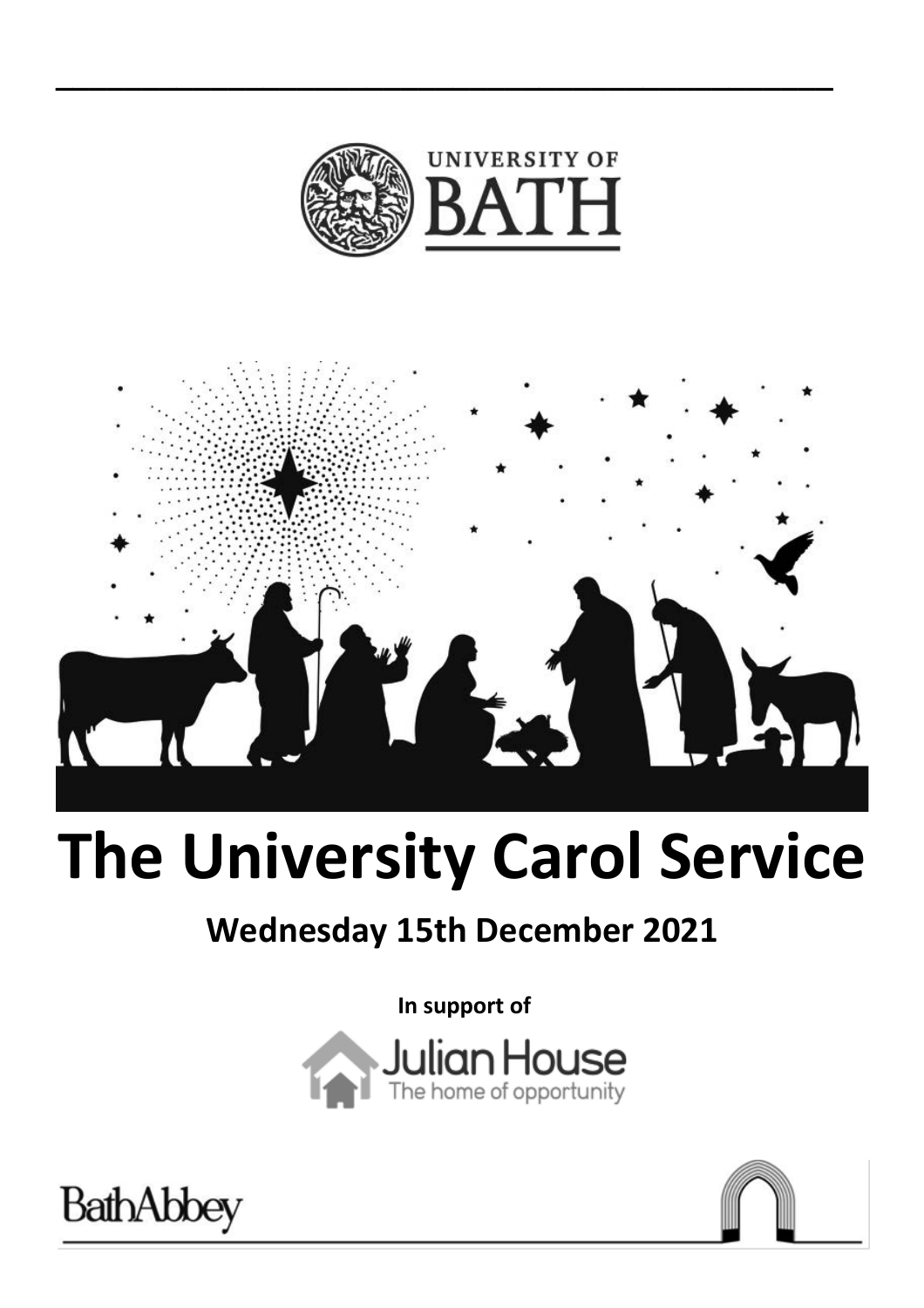

**\_\_\_\_\_\_\_\_\_\_\_\_\_\_\_\_\_\_\_\_\_\_\_\_\_\_\_\_\_\_\_\_\_\_\_\_\_\_\_\_\_\_\_\_\_**



# **The University Carol Service**

# **Wednesday 15th December 2021**

**In support of** 





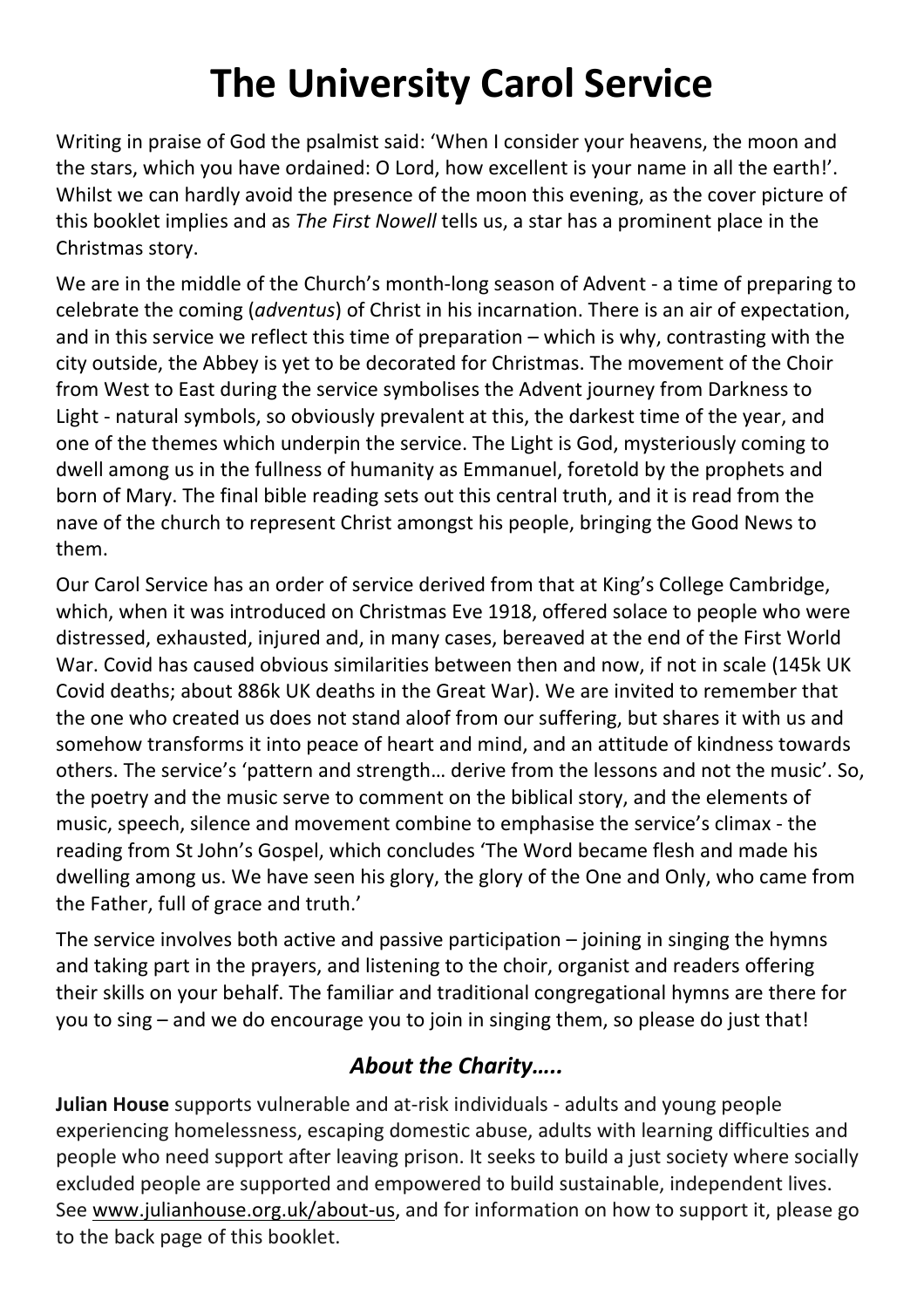# **The University Carol Service**

Writing in praise of God the psalmist said: 'When I consider your heavens, the moon and the stars, which you have ordained: O Lord, how excellent is your name in all the earth!'. Whilst we can hardly avoid the presence of the moon this evening, as the cover picture of this booklet implies and as *The First Nowell* tells us, a star has a prominent place in the Christmas story.

We are in the middle of the Church's month-long season of Advent - a time of preparing to celebrate the coming (*adventus*) of Christ in his incarnation. There is an air of expectation, and in this service we reflect this time of preparation – which is why, contrasting with the city outside, the Abbey is yet to be decorated for Christmas. The movement of the Choir from West to East during the service symbolises the Advent journey from Darkness to Light - natural symbols, so obviously prevalent at this, the darkest time of the year, and one of the themes which underpin the service. The Light is God, mysteriously coming to dwell among us in the fullness of humanity as Emmanuel, foretold by the prophets and born of Mary. The final bible reading sets out this central truth, and it is read from the nave of the church to represent Christ amongst his people, bringing the Good News to them.

Our Carol Service has an order of service derived from that at King's College Cambridge, which, when it was introduced on Christmas Eve 1918, offered solace to people who were distressed, exhausted, injured and, in many cases, bereaved at the end of the First World War. Covid has caused obvious similarities between then and now, if not in scale (145k UK Covid deaths; about 886k UK deaths in the Great War). We are invited to remember that the one who created us does not stand aloof from our suffering, but shares it with us and somehow transforms it into peace of heart and mind, and an attitude of kindness towards others. The service's 'pattern and strength… derive from the lessons and not the music'. So, the poetry and the music serve to comment on the biblical story, and the elements of music, speech, silence and movement combine to emphasise the service's climax - the reading from St John's Gospel, which concludes 'The Word became flesh and made his dwelling among us. We have seen his glory, the glory of the One and Only, who came from the Father, full of grace and truth.'

The service involves both active and passive participation  $-$  joining in singing the hymns and taking part in the prayers, and listening to the choir, organist and readers offering their skills on your behalf. The familiar and traditional congregational hymns are there for you to sing – and we do encourage you to join in singing them, so please do just that!

### *About the Charity…..*

**Julian House** supports vulnerable and at-risk individuals - adults and young people experiencing homelessness, escaping domestic abuse, adults with learning difficulties and people who need support after leaving prison. It seeks to build a just society where socially excluded people are supported and empowered to build sustainable, independent lives. See www.julianhouse.org.uk/about-us, and for information on how to support it, please go to the back page of this booklet.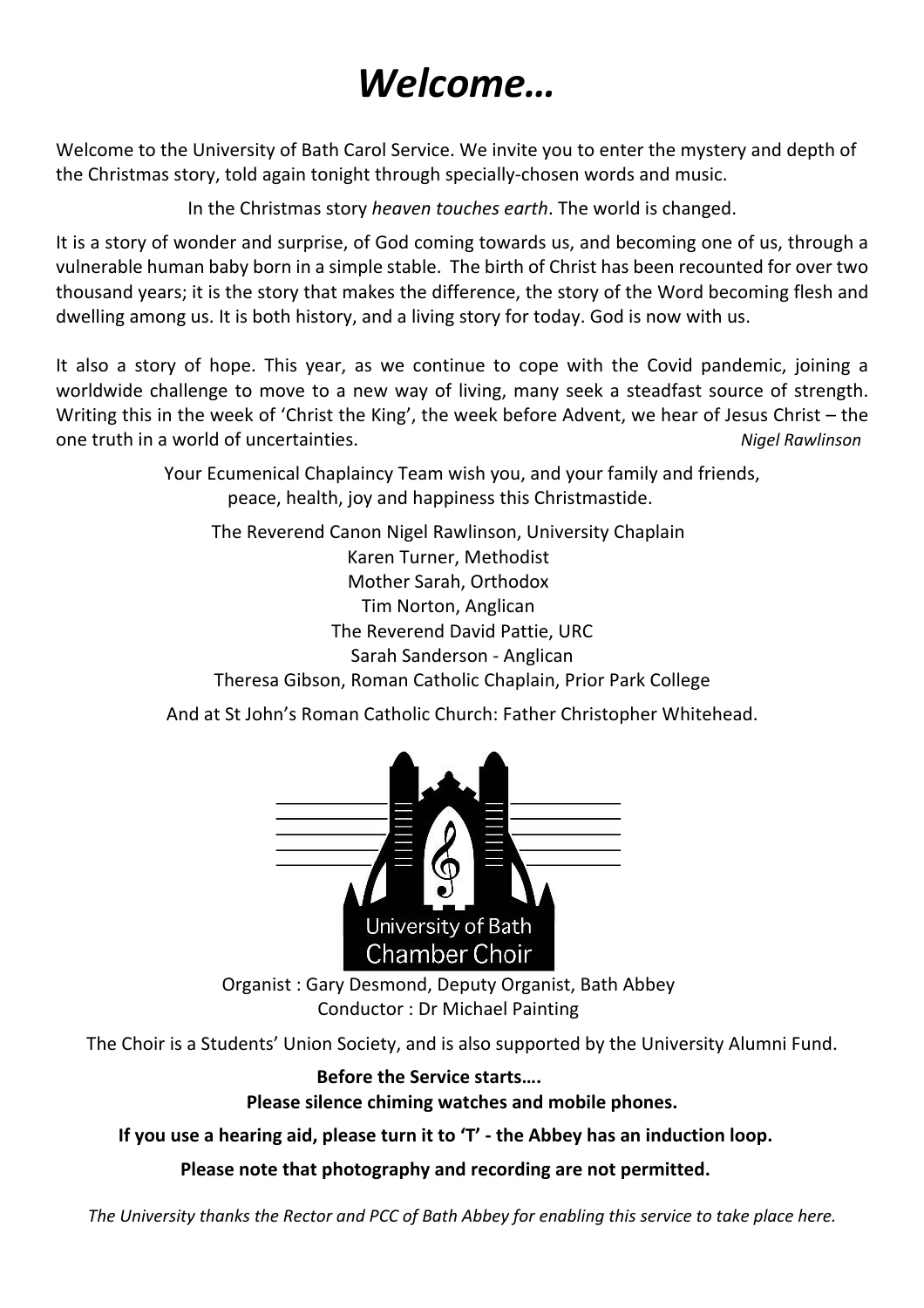# *Welcome…*

Welcome to the University of Bath Carol Service. We invite you to enter the mystery and depth of the Christmas story, told again tonight through specially-chosen words and music.

In the Christmas story *heaven touches earth*. The world is changed.

It is a story of wonder and surprise, of God coming towards us, and becoming one of us, through a vulnerable human baby born in a simple stable. The birth of Christ has been recounted for over two thousand years; it is the story that makes the difference, the story of the Word becoming flesh and dwelling among us. It is both history, and a living story for today. God is now with us.

It also a story of hope. This year, as we continue to cope with the Covid pandemic, joining a worldwide challenge to move to a new way of living, many seek a steadfast source of strength. Writing this in the week of 'Christ the King', the week before Advent, we hear of Jesus Christ – the one truth in a world of uncertainties. *Nigel Rawlinson* 

> Your Ecumenical Chaplaincy Team wish you, and your family and friends, peace, health, joy and happiness this Christmastide.

The Reverend Canon Nigel Rawlinson, University Chaplain Karen Turner, Methodist Mother Sarah, Orthodox Tim Norton, Anglican The Reverend David Pattie, URC Sarah Sanderson - Anglican Theresa Gibson, Roman Catholic Chaplain, Prior Park College

And at St John's Roman Catholic Church: Father Christopher Whitehead.



Organist : Gary Desmond, Deputy Organist, Bath Abbey Conductor : Dr Michael Painting

The Choir is a Students' Union Society, and is also supported by the University Alumni Fund.

**Before the Service starts…. Please silence chiming watches and mobile phones.**

**If you use a hearing aid, please turn it to 'T' - the Abbey has an induction loop.** 

**Please note that photography and recording are not permitted.** 

*The University thanks the Rector and PCC of Bath Abbey for enabling this service to take place here.*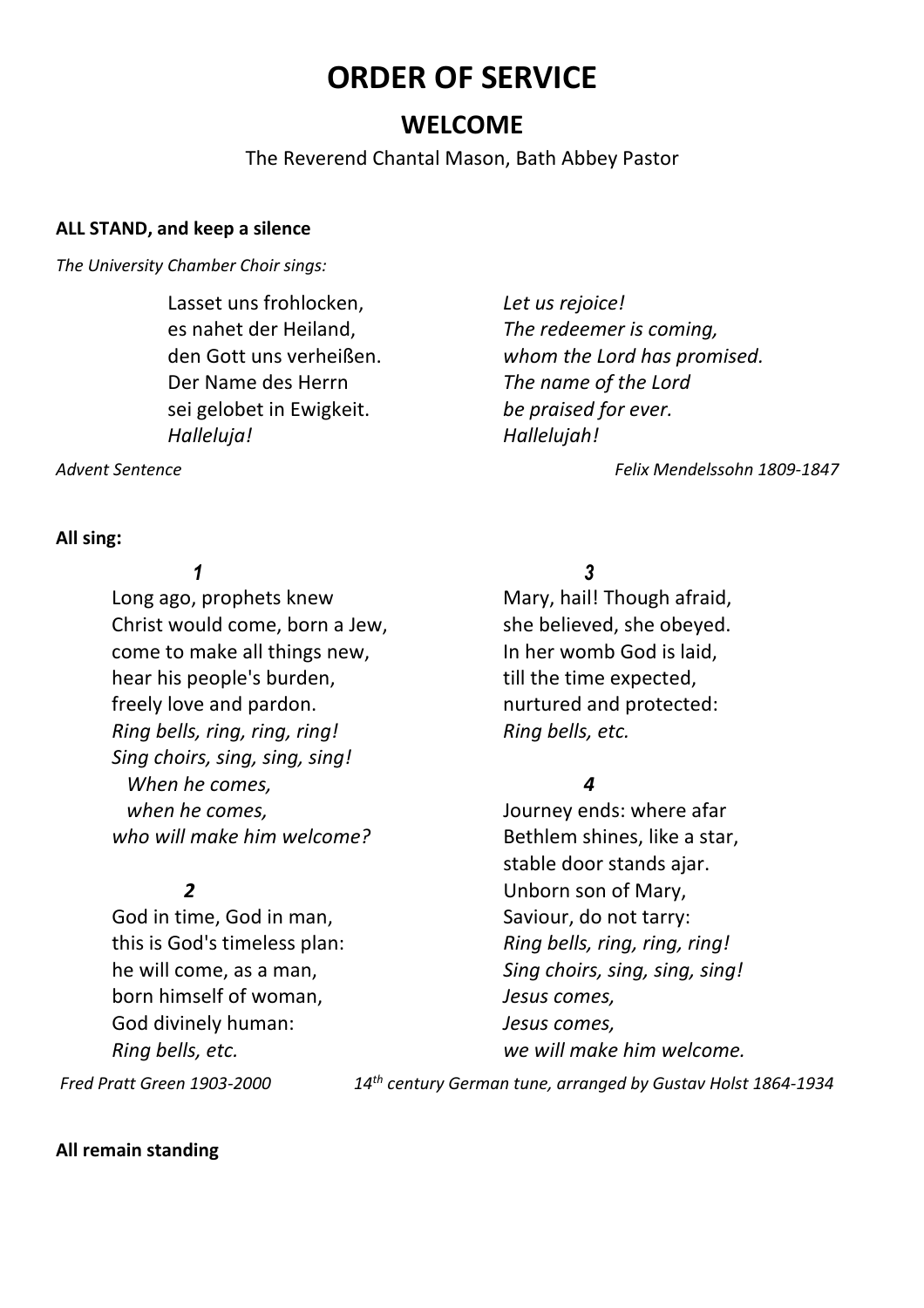# **ORDER OF SERVICE**

### **WELCOME**

The Reverend Chantal Mason, Bath Abbey Pastor

#### **ALL STAND, and keep a silence**

*The University Chamber Choir sings:* 

Lasset uns frohlocken, *Let us rejoice!* Der Name des Herrn *The name of the Lord* sei gelobet in Ewigkeit. *be praised for ever. Halleluja! Hallelujah!*

es nahet der Heiland, *The redeemer is coming,* den Gott uns verheißen. *whom the Lord has promised.*

*Advent Sentence Felix Mendelssohn 1809-1847*

**All sing:** 

Long ago, prophets knew Mary, hail! Though afraid, Christ would come, born a Jew, she believed, she obeyed. come to make all things new, In her womb God is laid, hear his people's burden, the still the time expected, freely love and pardon. The nurtured and protected: *Ring bells, ring, ring, ring! Ring bells, etc. Sing choirs, sing, sing, sing! When he comes, 4 when he comes,* Journey ends: where afar *who will make him welcome?* Bethlem shines, like a star,

God in time, God in man, Saviour, do not tarry: born himself of woman, *Jesus comes,* God divinely human: *Jesus comes,*

 *Fred Pratt Green 1903-2000 14th century German tune, arranged by Gustav Holst 1864-1934*

**All remain standing**

*1* 3

stable door stands ajar. **2** Unborn son of Mary, this is God's timeless plan: *Ring bells, ring, ring, ring!* he will come, as a man, *Sing choirs, sing, sing, sing! Ring bells, etc. we will make him welcome.*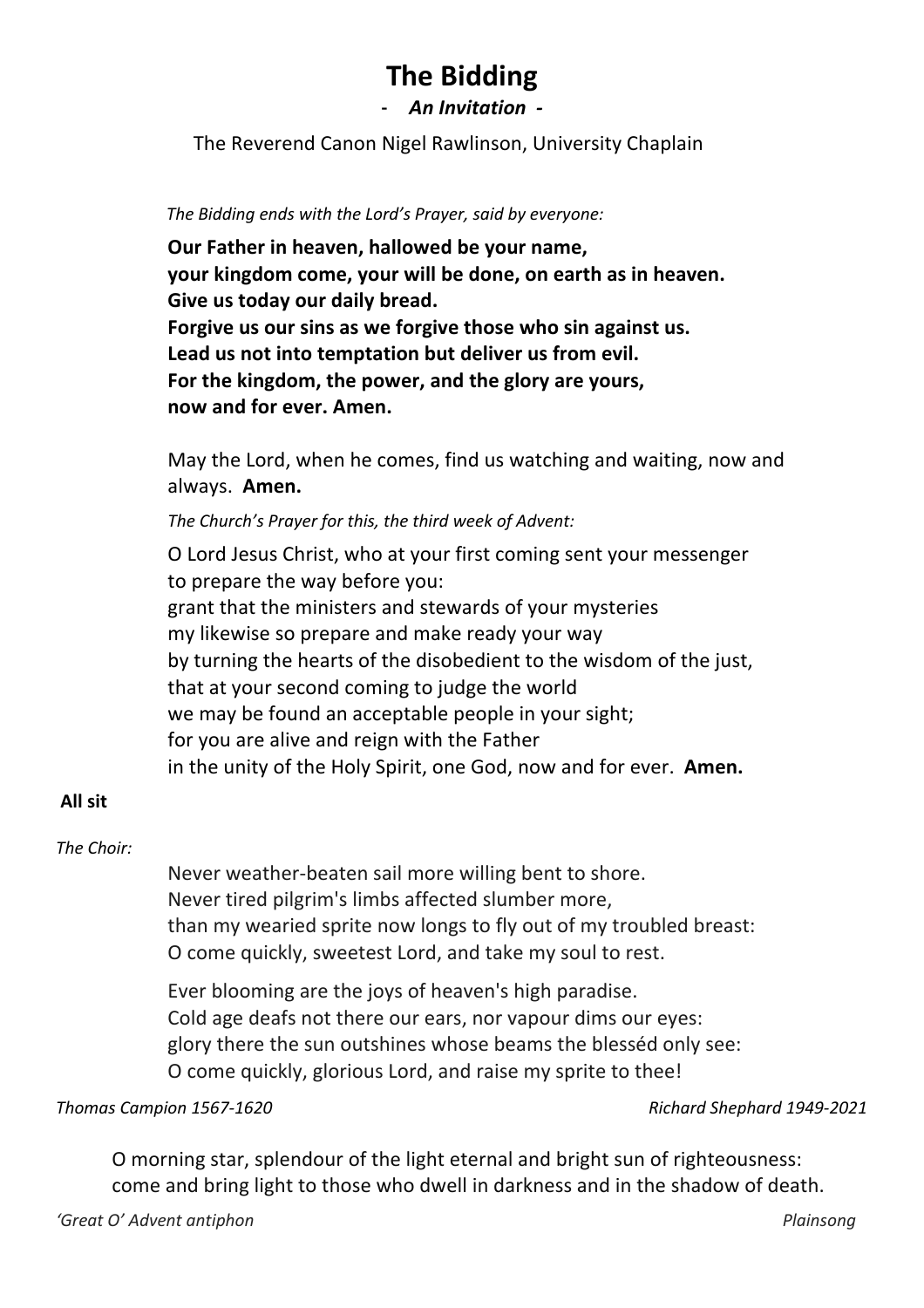## **The Bidding**

- *An Invitation -*

The Reverend Canon Nigel Rawlinson, University Chaplain

 *The Bidding ends with the Lord's Prayer, said by everyone:* 

**Our Father in heaven, hallowed be your name, your kingdom come, your will be done, on earth as in heaven. Give us today our daily bread. Forgive us our sins as we forgive those who sin against us. Lead us not into temptation but deliver us from evil. For the kingdom, the power, and the glory are yours, now and for ever. Amen.**

May the Lord, when he comes, find us watching and waiting, now and always. **Amen.** 

*The Church's Prayer for this, the third week of Advent:* 

O Lord Jesus Christ, who at your first coming sent your messenger to prepare the way before you: grant that the ministers and stewards of your mysteries my likewise so prepare and make ready your way by turning the hearts of the disobedient to the wisdom of the just, that at your second coming to judge the world we may be found an acceptable people in your sight; for you are alive and reign with the Father in the unity of the Holy Spirit, one God, now and for ever. **Amen.**

#### **All sit**

#### *The Choir:*

Never weather-beaten sail more willing bent to shore. Never tired pilgrim's limbs affected slumber more, than my wearied sprite now longs to fly out of my troubled breast: O come quickly, sweetest Lord, and take my soul to rest.

Ever blooming are the joys of heaven's high paradise. Cold age deafs not there our ears, nor vapour dims our eyes: glory there the sun outshines whose beams the blesséd only see: O come quickly, glorious Lord, and raise my sprite to thee!

*Thomas Campion 1567-1620 Richard Shephard 1949-2021*

O morning star, splendour of the light eternal and bright sun of righteousness: come and bring light to those who dwell in darkness and in the shadow of death.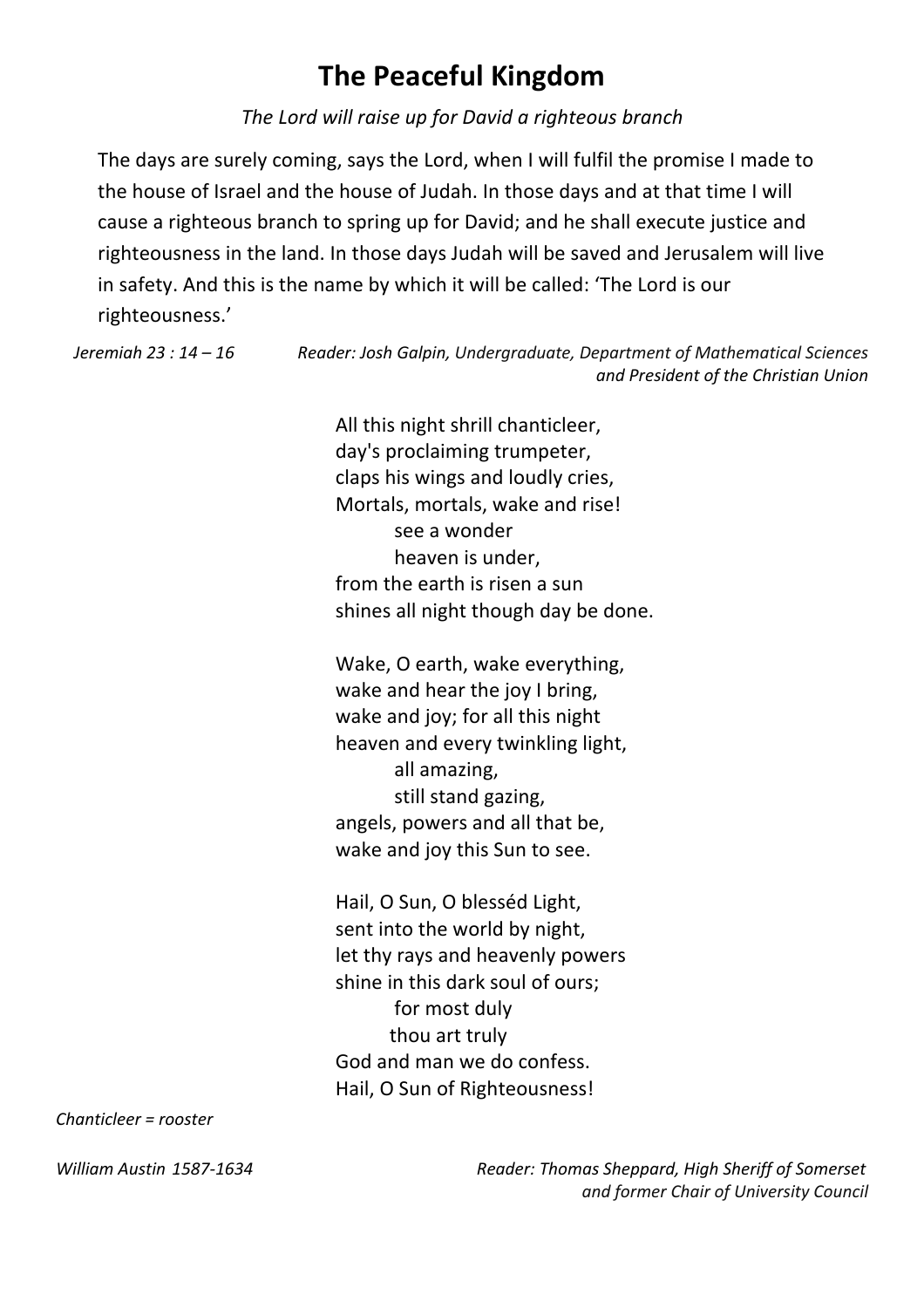# **The Peaceful Kingdom**

*The Lord will raise up for David a righteous branch*

The days are surely coming, says the Lord, when I will fulfil the promise I made to the house of Israel and the house of Judah. In those days and at that time I will cause a righteous branch to spring up for David; and he shall execute justice and righteousness in the land. In those days Judah will be saved and Jerusalem will live in safety. And this is the name by which it will be called: 'The Lord is our righteousness.'

*Jeremiah 23 : 14 – 16 Reader: Josh Galpin, Undergraduate, Department of Mathematical Sciences and President of the Christian Union*

> All this night shrill chanticleer, day's proclaiming trumpeter, claps his wings and loudly cries, Mortals, mortals, wake and rise! see a wonder heaven is under, from the earth is risen a sun shines all night though day be done.

Wake, O earth, wake everything, wake and hear the joy I bring, wake and joy; for all this night heaven and every twinkling light, all amazing, still stand gazing, angels, powers and all that be, wake and joy this Sun to see.

Hail, O Sun, O blesséd Light, sent into the world by night, let thy rays and heavenly powers shine in this dark soul of ours; for most duly thou art truly God and man we do confess. Hail, O Sun of Righteousness!

*Chanticleer = rooster* 

*William Austin 1587-1634 Reader: Thomas Sheppard, High Sheriff of Somerset and former Chair of University Council*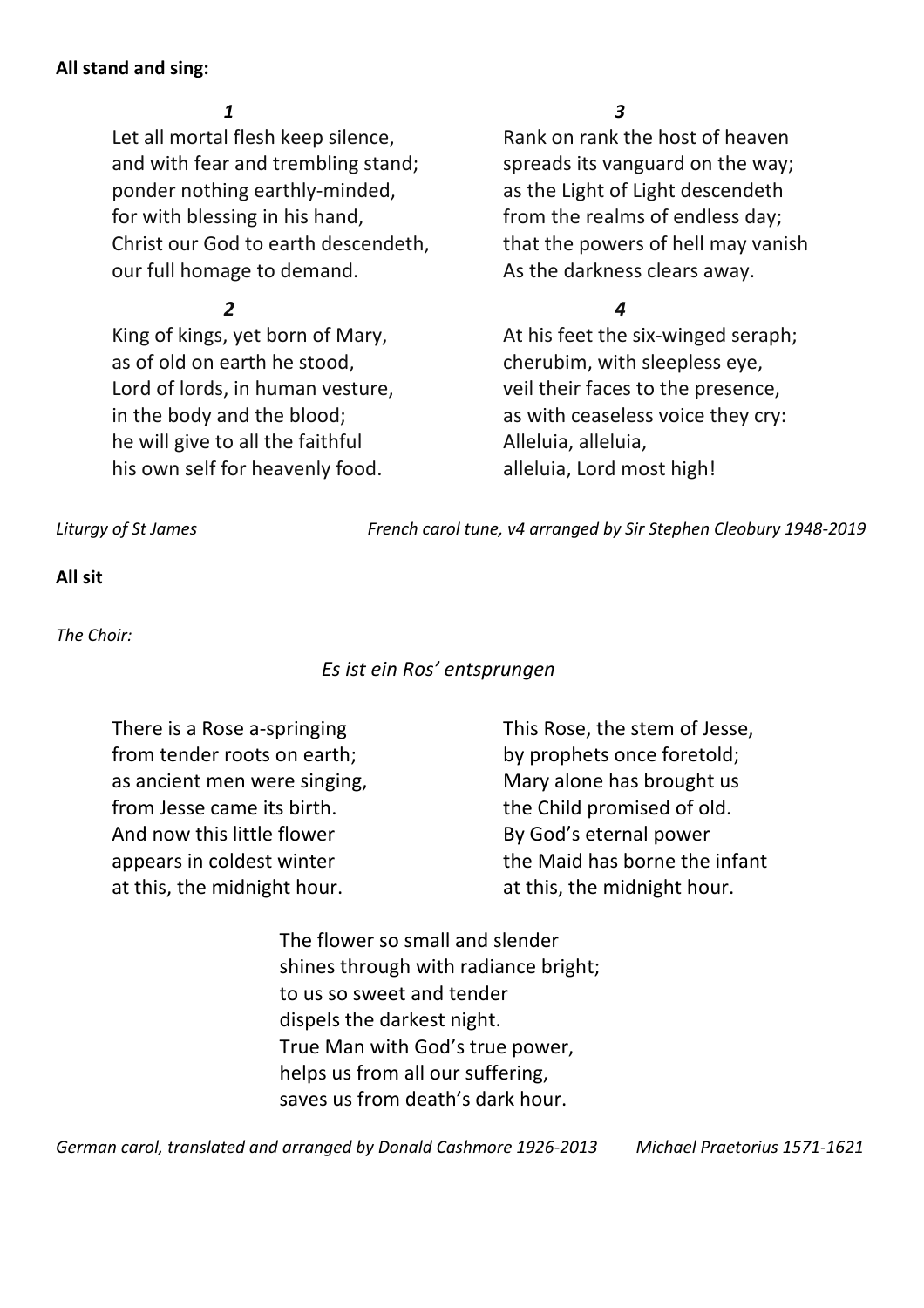#### **All stand and sing:**

Let all mortal flesh keep silence, Rank on rank the host of heaven and with fear and trembling stand; spreads its vanguard on the way; ponder nothing earthly-minded, as the Light of Light descendeth for with blessing in his hand, from the realms of endless day; Christ our God to earth descendeth, that the powers of hell may vanish our full homage to demand. As the darkness clears away.

as of old on earth he stood, cherubim, with sleepless eye, Lord of lords, in human vesture, veil their faces to the presence, in the body and the blood; as with ceaseless voice they cry: he will give to all the faithful **Alleluia**, alleluia, his own self for heavenly food. alleluia, Lord most high!

#### *1 3*

### *2 4*

King of kings, yet born of Mary, and At his feet the six-winged seraph;

*Liturgy of St James French carol tune, v4 arranged by Sir Stephen Cleobury 1948-2019*

#### **All sit**

*The Choir:* 

### *Es ist ein Ros' entsprungen*

from tender roots on earth; by prophets once foretold; as ancient men were singing, Mary alone has brought us from Jesse came its birth. the Child promised of old. And now this little flower By God's eternal power at this, the midnight hour. at this, the midnight hour.

There is a Rose a-springing This Rose, the stem of Jesse, appears in coldest winter the Maid has borne the infant

> The flower so small and slender shines through with radiance bright; to us so sweet and tender dispels the darkest night. True Man with God's true power, helps us from all our suffering, saves us from death's dark hour.

*German carol, translated and arranged by Donald Cashmore 1926-2013 Michael Praetorius 1571-1621*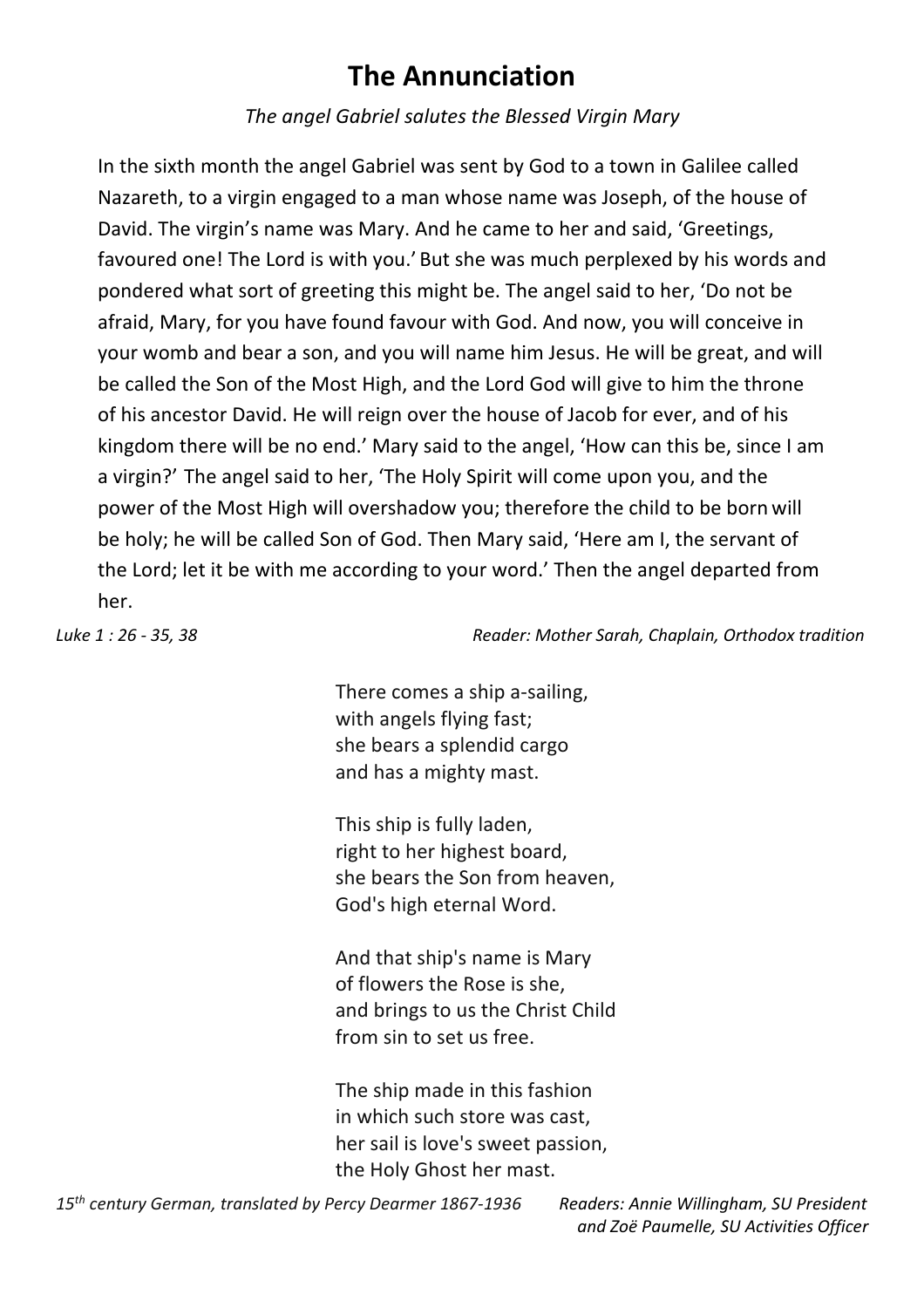# **The Annunciation**

*The angel Gabriel salutes the Blessed Virgin Mary*

In the sixth month the angel Gabriel was sent by God to a town in Galilee called Nazareth, to a virgin engaged to a man whose name was Joseph, of the house of David. The virgin's name was Mary. And he came to her and said, 'Greetings, favoured one! The Lord is with you.' But she was much perplexed by his words and pondered what sort of greeting this might be. The angel said to her, 'Do not be afraid, Mary, for you have found favour with God. And now, you will conceive in your womb and bear a son, and you will name him Jesus. He will be great, and will be called the Son of the Most High, and the Lord God will give to him the throne of his ancestor David. He will reign over the house of Jacob for ever, and of his kingdom there will be no end.' Mary said to the angel, 'How can this be, since I am a virgin?' The angel said to her, 'The Holy Spirit will come upon you, and the power of the Most High will overshadow you; therefore the child to be born will be holy; he will be called Son of God. Then Mary said, 'Here am I, the servant of the Lord; let it be with me according to your word.' Then the angel departed from her.

*Luke 1 : 26 - 35, 38 Reader: Mother Sarah, Chaplain, Orthodox tradition* 

There comes a ship a-sailing, with angels flying fast; she bears a splendid cargo and has a mighty mast.

This ship is fully laden, right to her highest board, she bears the Son from heaven, God's high eternal Word.

And that ship's name is Mary of flowers the Rose is she, and brings to us the Christ Child from sin to set us free.

The ship made in this fashion in which such store was cast, her sail is love's sweet passion, the Holy Ghost her mast.

*and Zoë Paumelle, SU Activities Officer*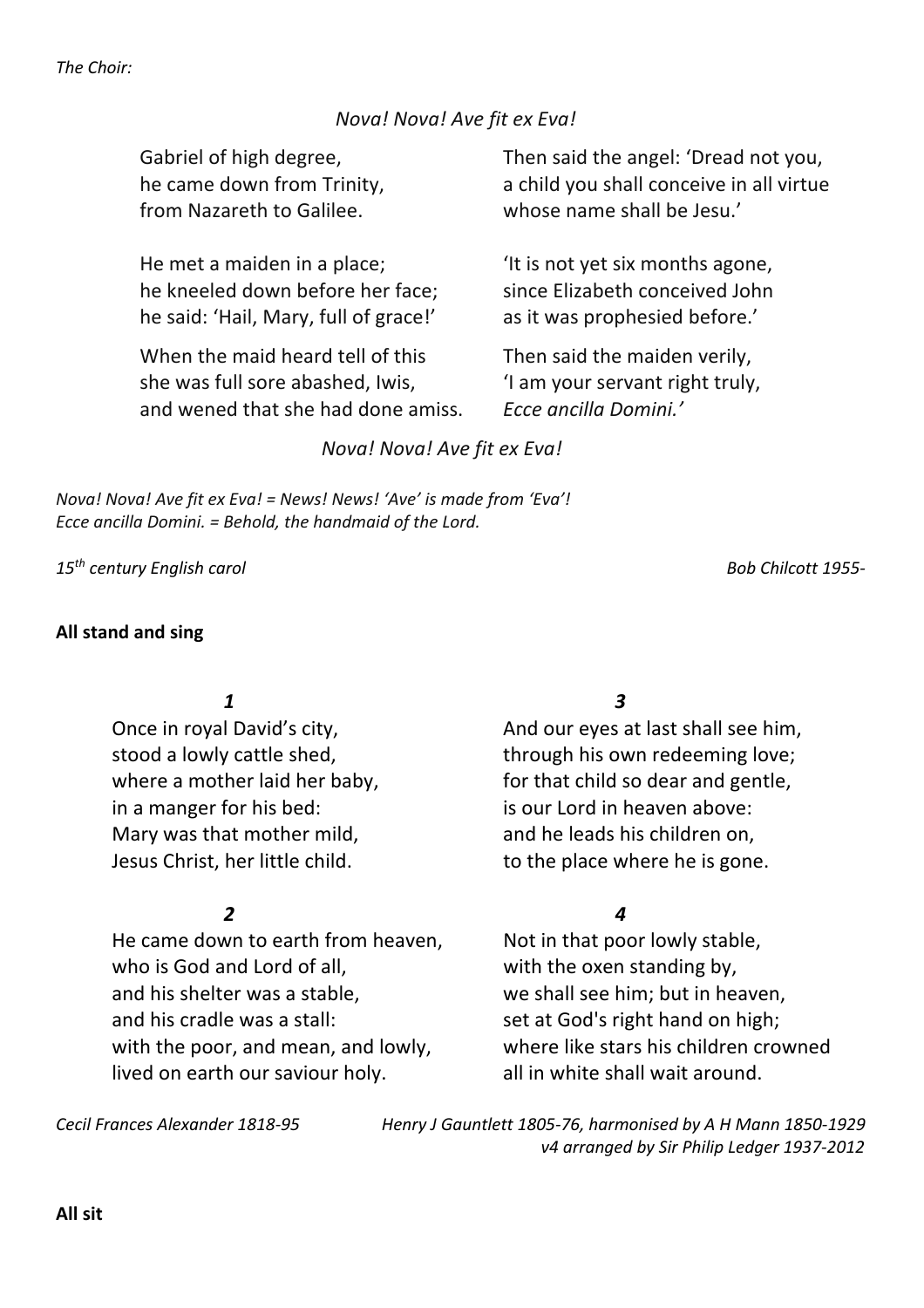*The Choir:* 

#### *Nova! Nova! Ave fit ex Eva!*

from Nazareth to Galilee. whose name shall be Jesu.'

He met a maiden in a place;  $\frac{1}{1}$  is not yet six months agone, he kneeled down before her face: since Elizabeth conceived John he said: 'Hail, Mary, full of grace!' as it was prophesied before.'

When the maid heard tell of this Then said the maiden verily, she was full sore abashed, Iwis,  $\frac{1}{1}$  am your servant right truly, and wened that she had done amiss. *Ecce ancilla Domini.'*

Gabriel of high degree, Then said the angel: 'Dread not you, he came down from Trinity, a child you shall conceive in all virtue

#### *Nova! Nova! Ave fit ex Eva!*

*Nova! Nova! Ave fit ex Eva! = News! News! 'Ave' is made from 'Eva'! Ecce ancilla Domini. = Behold, the handmaid of the Lord.*

*15th century English carol Bob Chilcott 1955-* 

#### **All stand and sing**

in a manger for his bed:<br>is our Lord in heaven above: Mary was that mother mild, and he leads his children on, Jesus Christ, her little child. to the place where he is gone.

He came down to earth from heaven, Not in that poor lowly stable, who is God and Lord of all, with the oxen standing by, and his shelter was a stable, we shall see him; but in heaven, and his cradle was a stall: set at God's right hand on high; with the poor, and mean, and lowly, where like stars his children crowned lived on earth our saviour holy. all in white shall wait around.

*1 3* 

Once in royal David's city, and our eyes at last shall see him, stood a lowly cattle shed, through his own redeeming love; where a mother laid her baby, for that child so dear and gentle,

#### *2 4*

*Cecil Frances Alexander 1818-95 Henry J Gauntlett 1805-76, harmonised by A H Mann 1850-1929 v4 arranged by Sir Philip Ledger 1937-2012*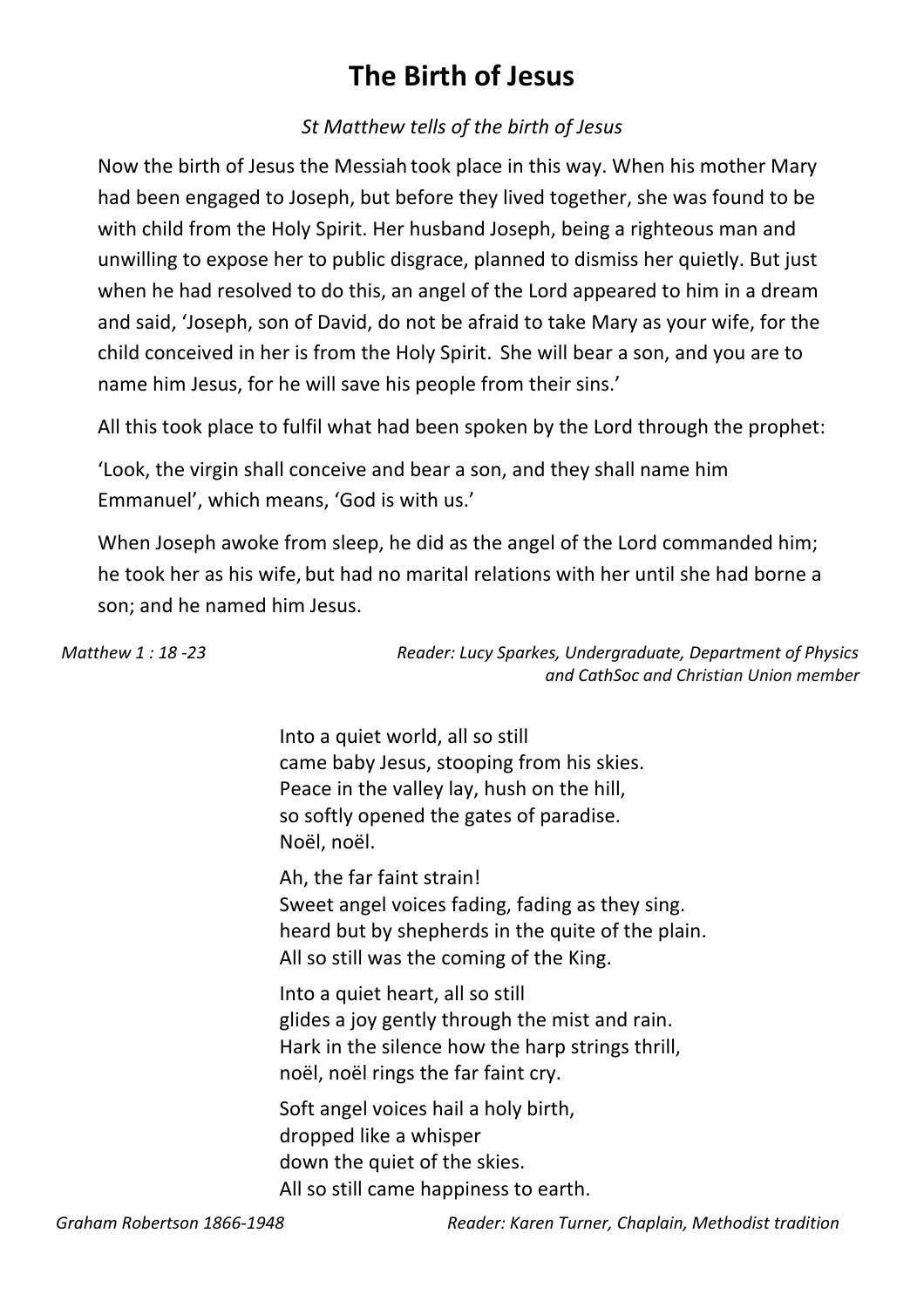# **The Birth of Jesus**

### *St Matthew tells of the birth of Jesus*

Now the birth of Jesus the Messiah took place in this way. When his mother Mary had been engaged to Joseph, but before they lived together, she was found to be with child from the Holy Spirit. Her husband Joseph, being a righteous man and unwilling to expose her to public disgrace, planned to dismiss her quietly. But just when he had resolved to do this, an angel of the Lord appeared to him in a dream and said, 'Joseph, son of David, do not be afraid to take Mary as your wife, for the child conceived in her is from the Holy Spirit. She will bear a son, and you are to name him Jesus, for he will save his people from their sins.'

All this took place to fulfil what had been spoken by the Lord through the prophet:

'Look, the virgin shall conceive and bear a son, and they shall name him Emmanuel', which means, 'God is with us.'

When Joseph awoke from sleep, he did as the angel of the Lord commanded him; he took her as his wife, but had no marital relations with her until she had borne a son; and he named him Jesus.

| Matthew 1:18-23 | Reader: Lucy Sparkes, Undergraduate, Department of Physics<br>and CathSoc and Christian Union member                                                                                  |
|-----------------|---------------------------------------------------------------------------------------------------------------------------------------------------------------------------------------|
|                 | Into a quiet world, all so still<br>came baby Jesus, stooping from his skies.<br>Peace in the valley lay, hush on the hill,<br>so softly opened the gates of paradise.<br>Noël, noël. |
|                 | Ah, the far faint strain!<br>Sweet angel voices fading, fading as they sing.<br>heard but by shepherds in the quite of the plain.<br>All so still was the coming of the King.         |
|                 | Into a quiet heart, all so still<br>glides a joy gently through the mist and rain.<br>Hark in the silence how the harp strings thrill,<br>noël, noël rings the far faint cry.         |
|                 | Soft angel voices hail a holy birth,<br>dropped like a whisper<br>down the quiet of the skies.<br>All so still came happiness to earth.                                               |

*Graham Robertson 1866-1948 Reader: Karen Turner, Chaplain, Methodist tradition*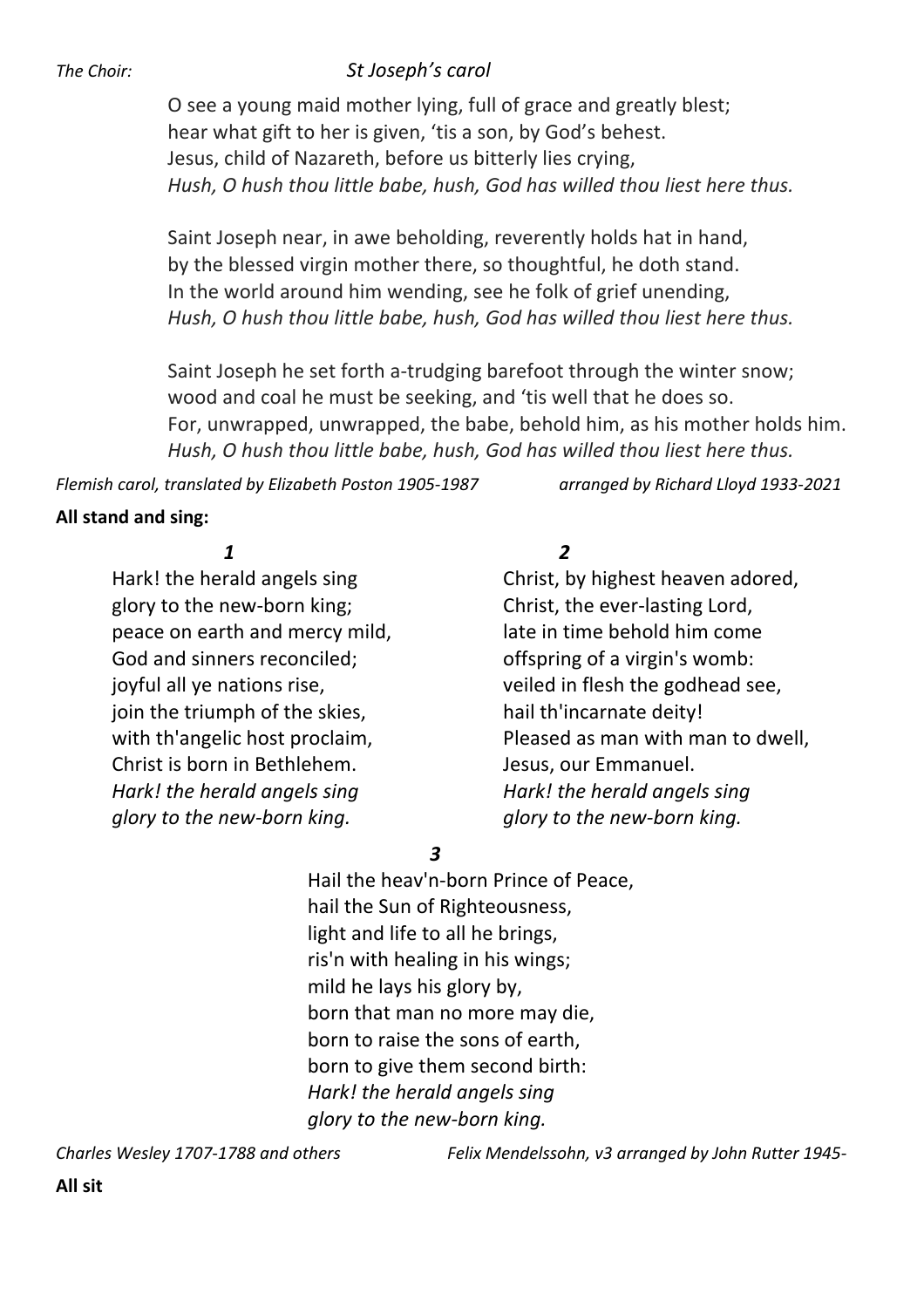#### *The Choir: St Joseph's carol*

O see a young maid mother lying, full of grace and greatly blest; hear what gift to her is given, 'tis a son, by God's behest. Jesus, child of Nazareth, before us bitterly lies crying, *Hush, O hush thou little babe, hush, God has willed thou liest here thus.*

Saint Joseph near, in awe beholding, reverently holds hat in hand, by the blessed virgin mother there, so thoughtful, he doth stand. In the world around him wending, see he folk of grief unending, *Hush, O hush thou little babe, hush, God has willed thou liest here thus.*

Saint Joseph he set forth a-trudging barefoot through the winter snow; wood and coal he must be seeking, and 'tis well that he does so. For, unwrapped, unwrapped, the babe, behold him, as his mother holds him. *Hush, O hush thou little babe, hush, God has willed thou liest here thus.*

*Flemish carol, translated by Elizabeth Poston 1905-1987 arranged by Richard Lloyd 1933-2021*

#### **All stand and sing:**

glory to the new-born king; Christ, the ever-lasting Lord, peace on earth and mercy mild, late in time behold him come God and sinners reconciled; example offspring of a virgin's womb: join the triumph of the skies, hail th'incarnate deity! Christ is born in Bethlehem. Jesus, our Emmanuel. *Hark! the herald angels sing Hark! the herald angels sing glory to the new-born king. glory to the new-born king.*

#### *1 2*

Hark! the herald angels sing Electronic Christ, by highest heaven adored, joyful all ye nations rise, the veiled in flesh the godhead see, with th'angelic host proclaim, The Pleased as man with man to dwell,

 *3* 

Hail the heav'n-born Prince of Peace, hail the Sun of Righteousness, light and life to all he brings, ris'n with healing in his wings; mild he lays his glory by, born that man no more may die, born to raise the sons of earth, born to give them second birth: *Hark! the herald angels sing glory to the new-born king.*

*Charles Wesley 1707-1788 and others Felix Mendelssohn, v3 arranged by John Rutter 1945-*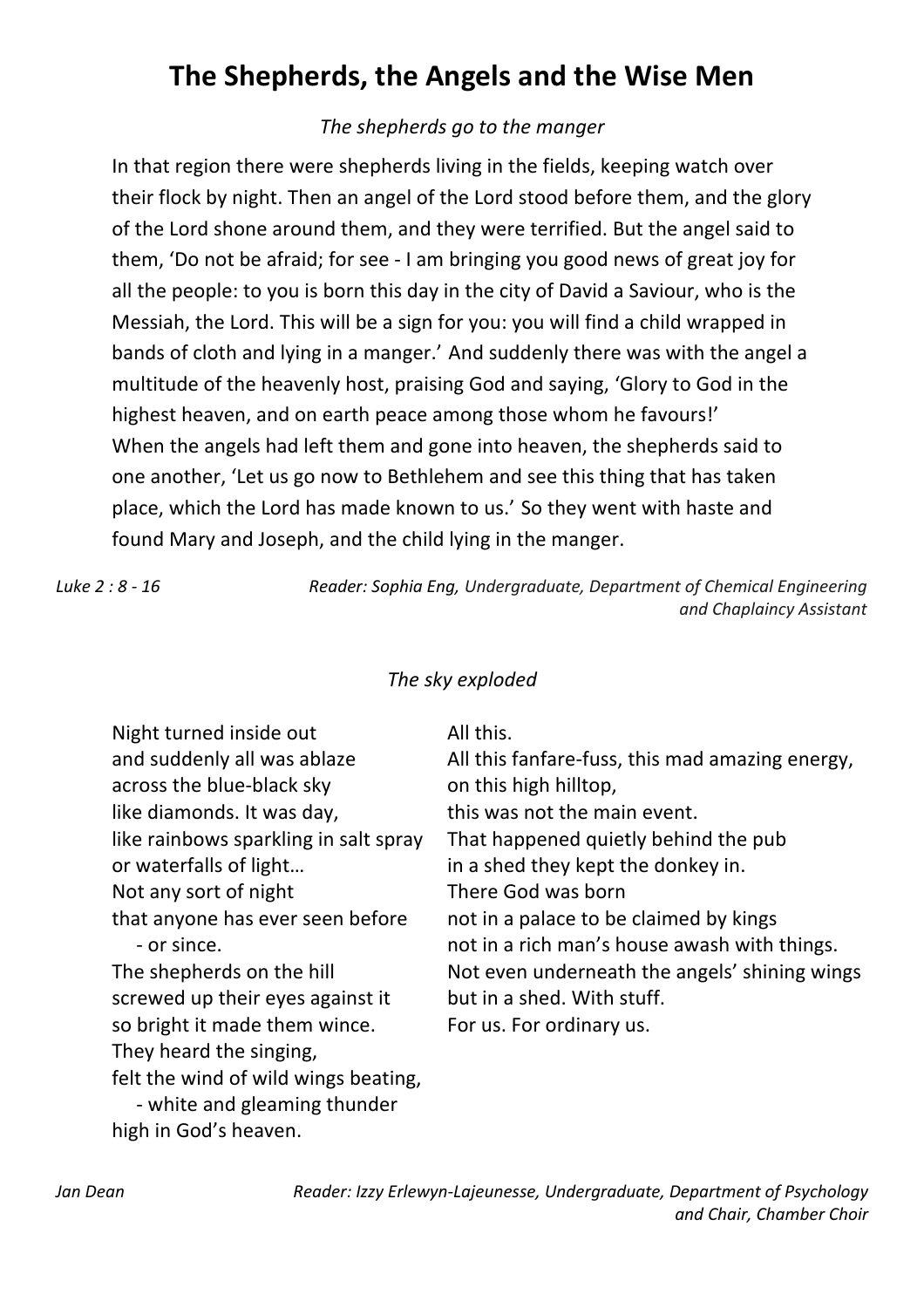# **The Shepherds, the Angels and the Wise Men**

### *The shepherds go to the manger*

In that region there were shepherds living in the fields, keeping watch over their flock by night. Then an angel of the Lord stood before them, and the glory of the Lord shone around them, and they were terrified. But the angel said to them, 'Do not be afraid; for see - I am bringing you good news of great joy for all the people: to you is born this day in the city of David a Saviour, who is the Messiah, the Lord. This will be a sign for you: you will find a child wrapped in bands of cloth and lying in a manger.' And suddenly there was with the angel a multitude of the heavenly host, praising God and saying, 'Glory to God in the highest heaven, and on earth peace among those whom he favours!' When the angels had left them and gone into heaven, the shepherds said to one another, 'Let us go now to Bethlehem and see this thing that has taken place, which the Lord has made known to us.'So they went with haste and found Mary and Joseph, and the child lying in the manger.

*Luke 2 : 8 - 16 Reader: Sophia Eng, Undergraduate, Department of Chemical Engineering and Chaplaincy Assistant* 

### *The sky exploded*

| Night turned inside out               | All this.                                       |
|---------------------------------------|-------------------------------------------------|
| and suddenly all was ablaze           | All this fanfare-fuss, this mad amazing energy, |
| across the blue-black sky             | on this high hilltop,                           |
| like diamonds. It was day,            | this was not the main event.                    |
| like rainbows sparkling in salt spray | That happened quietly behind the pub            |
| or waterfalls of light                | in a shed they kept the donkey in.              |
| Not any sort of night                 | There God was born                              |
| that anyone has ever seen before      | not in a palace to be claimed by kings          |
| - or since.                           | not in a rich man's house awash with things.    |
| The shepherds on the hill             | Not even underneath the angels' shining wings   |
| screwed up their eyes against it      | but in a shed. With stuff.                      |
| so bright it made them wince.         | For us. For ordinary us.                        |
| They heard the singing,               |                                                 |
| felt the wind of wild wings beating,  |                                                 |
| - white and gleaming thunder          |                                                 |

high in God's heaven.

*Jan Dean Reader: Izzy Erlewyn-Lajeunesse, Undergraduate, Department of Psychology and Chair, Chamber Choir*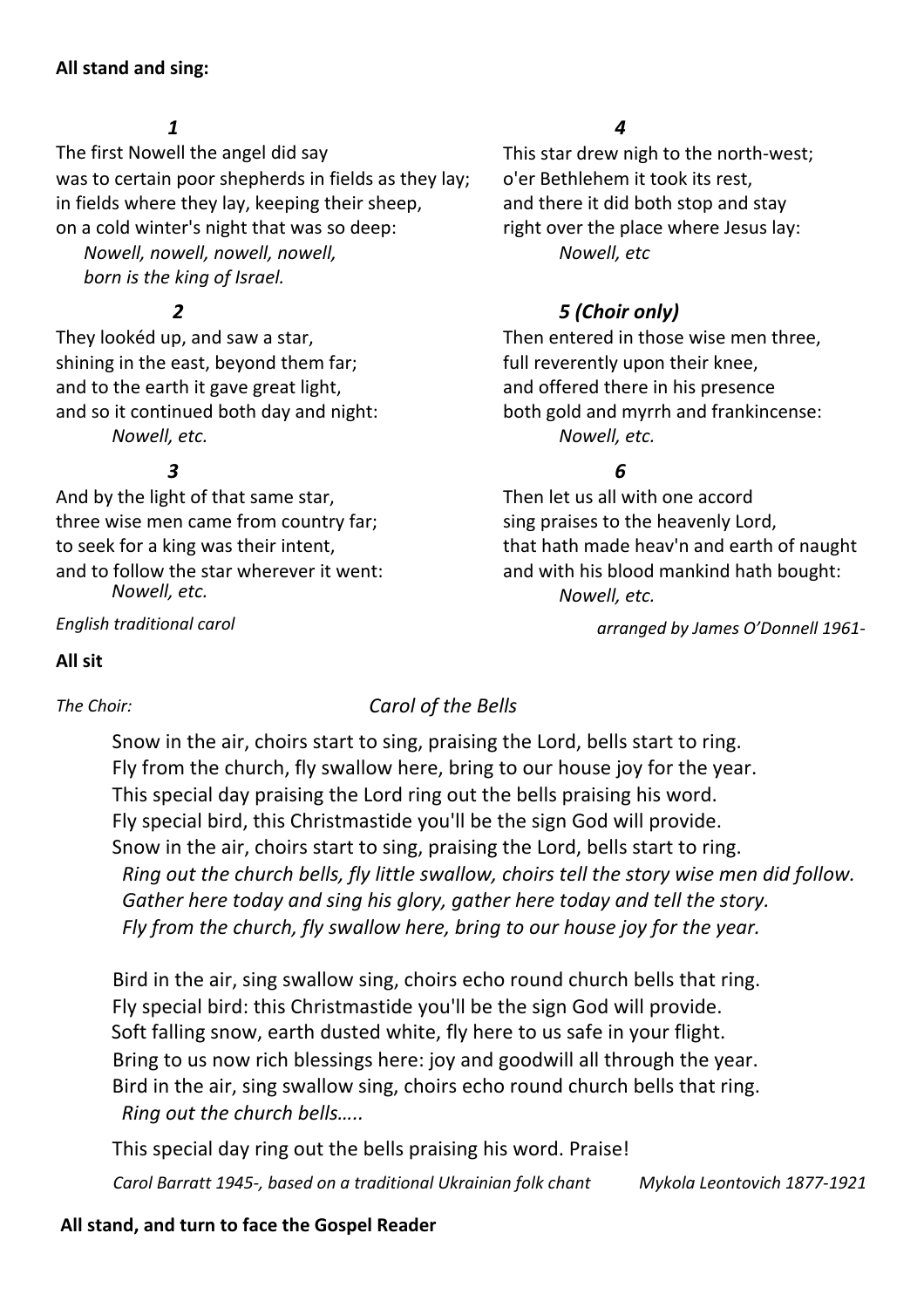#### **All stand and sing:**

#### *1*

The first Nowell the angel did say This star drew nigh to the north-west; was to certain poor shepherds in fields as they lay; o'er Bethlehem it took its rest, in fields where they lay, keeping their sheep, and there it did both stop and stay on a cold winter's night that was so deep: right over the place where Jesus lay: *Nowell, nowell, nowell, nowell, Nowell, etc born is the king of Israel.*

They lookéd up, and saw a star, Then entered in those wise men three, shining in the east, beyond them far; full reverently upon their knee, and to the earth it gave great light, and offered there in his presence and so it continued both day and night:<br>both gold and myrrh and frankincense: *Nowell, etc. Nowell, etc.*

#### *3 6*

And by the light of that same star, Then let us all with one accord three wise men came from country far; sing praises to the heavenly Lord, *Nowell, etc.*

*English traditional carol* 

#### *4*

### *2 5 (Choir only)*

to seek for a king was their intent, that hath made heav'n and earth of naught and to follow the star wherever it went: and with his blood mankind hath bought: *Nowell, etc.*

 *arranged by James O'Donnell 1961-* 

#### **All sit**

### *The Choir: Carol of the Bells*

Snow in the air, choirs start to sing, praising the Lord, bells start to ring. Fly from the church, fly swallow here, bring to our house joy for the year. This special day praising the Lord ring out the bells praising his word. Fly special bird, this Christmastide you'll be the sign God will provide. Snow in the air, choirs start to sing, praising the Lord, bells start to ring.  *Ring out the church bells, fly little swallow, choirs tell the story wise men did follow. Gather here today and sing his glory, gather here today and tell the story. Fly from the church, fly swallow here, bring to our house joy for the year.* 

Bird in the air, sing swallow sing, choirs echo round church bells that ring. Fly special bird: this Christmastide you'll be the sign God will provide. Soft falling snow, earth dusted white, fly here to us safe in your flight. Bring to us now rich blessings here: joy and goodwill all through the year. Bird in the air, sing swallow sing, choirs echo round church bells that ring.  *Ring out the church bells…..*

This special day ring out the bells praising his word. Praise!

*Carol Barratt 1945-, based on a traditional Ukrainian folk chant Mykola Leontovich 1877-1921*

#### **All stand, and turn to face the Gospel Reader**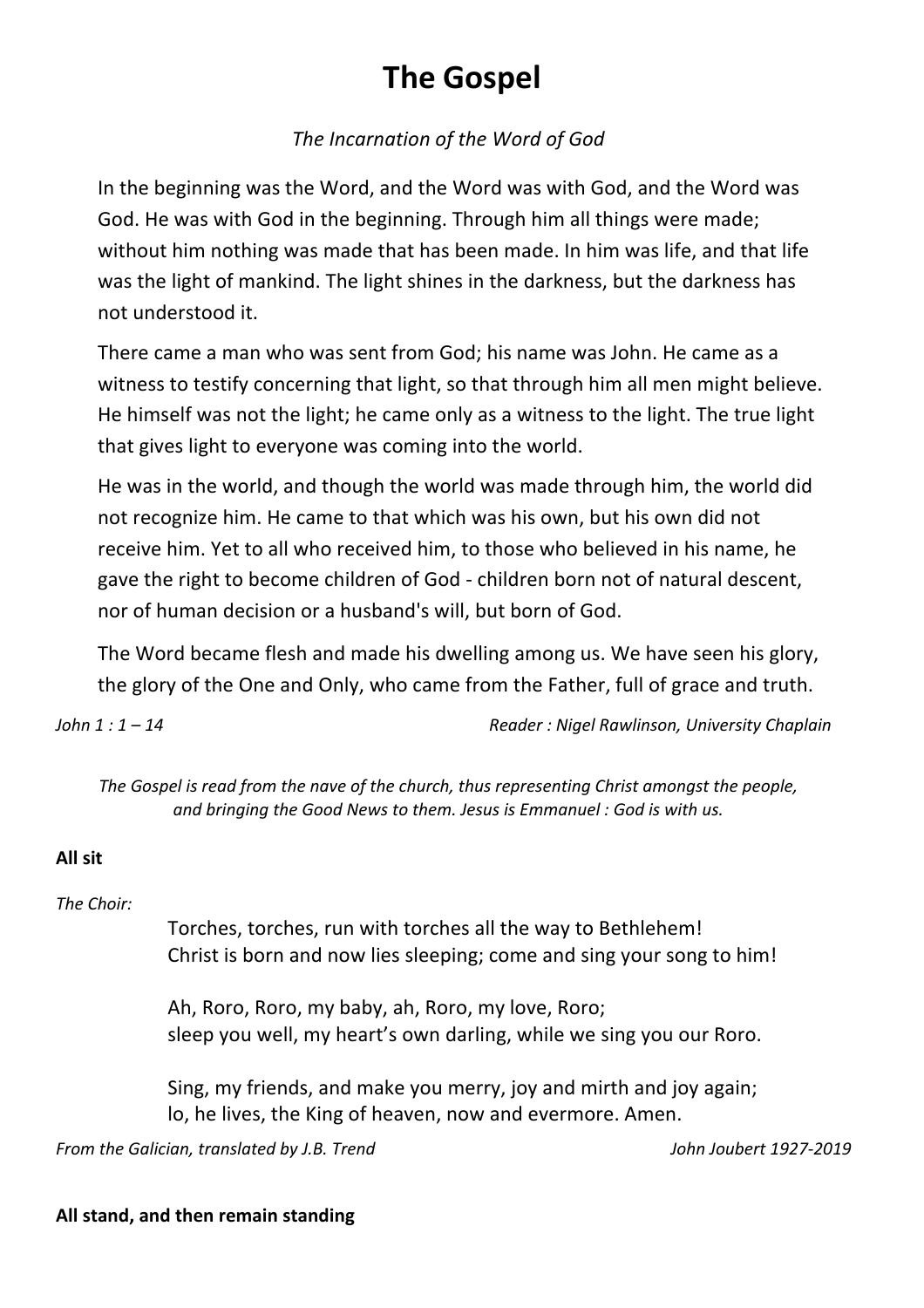# **The Gospel**

### *The Incarnation of the Word of God*

In the beginning was the Word, and the Word was with God, and the Word was God. He was with God in the beginning. Through him all things were made; without him nothing was made that has been made. In him was life, and that life was the light of mankind. The light shines in the darkness, but the darkness has not understood it.

There came a man who was sent from God; his name was John. He came as a witness to testify concerning that light, so that through him all men might believe. He himself was not the light; he came only as a witness to the light. The true light that gives light to everyone was coming into the world.

He was in the world, and though the world was made through him, the world did not recognize him. He came to that which was his own, but his own did not receive him. Yet to all who received him, to those who believed in his name, he gave the right to become children of God - children born not of natural descent, nor of human decision or a husband's will, but born of God.

The Word became flesh and made his dwelling among us. We have seen his glory, the glory of the One and Only, who came from the Father, full of grace and truth.

*John 1 : 1 – 14 Reader : Nigel Rawlinson, University Chaplain* 

*The Gospel is read from the nave of the church, thus representing Christ amongst the people, and bringing the Good News to them. Jesus is Emmanuel : God is with us.* 

### **All sit**

*The Choir:*

Torches, torches, run with torches all the way to Bethlehem! Christ is born and now lies sleeping; come and sing your song to him!

Ah, Roro, Roro, my baby, ah, Roro, my love, Roro; sleep you well, my heart's own darling, while we sing you our Roro.

Sing, my friends, and make you merry, joy and mirth and joy again; lo, he lives, the King of heaven, now and evermore. Amen.

*From the Galician, translated by J.B. Trend John Joubert 1927-2019*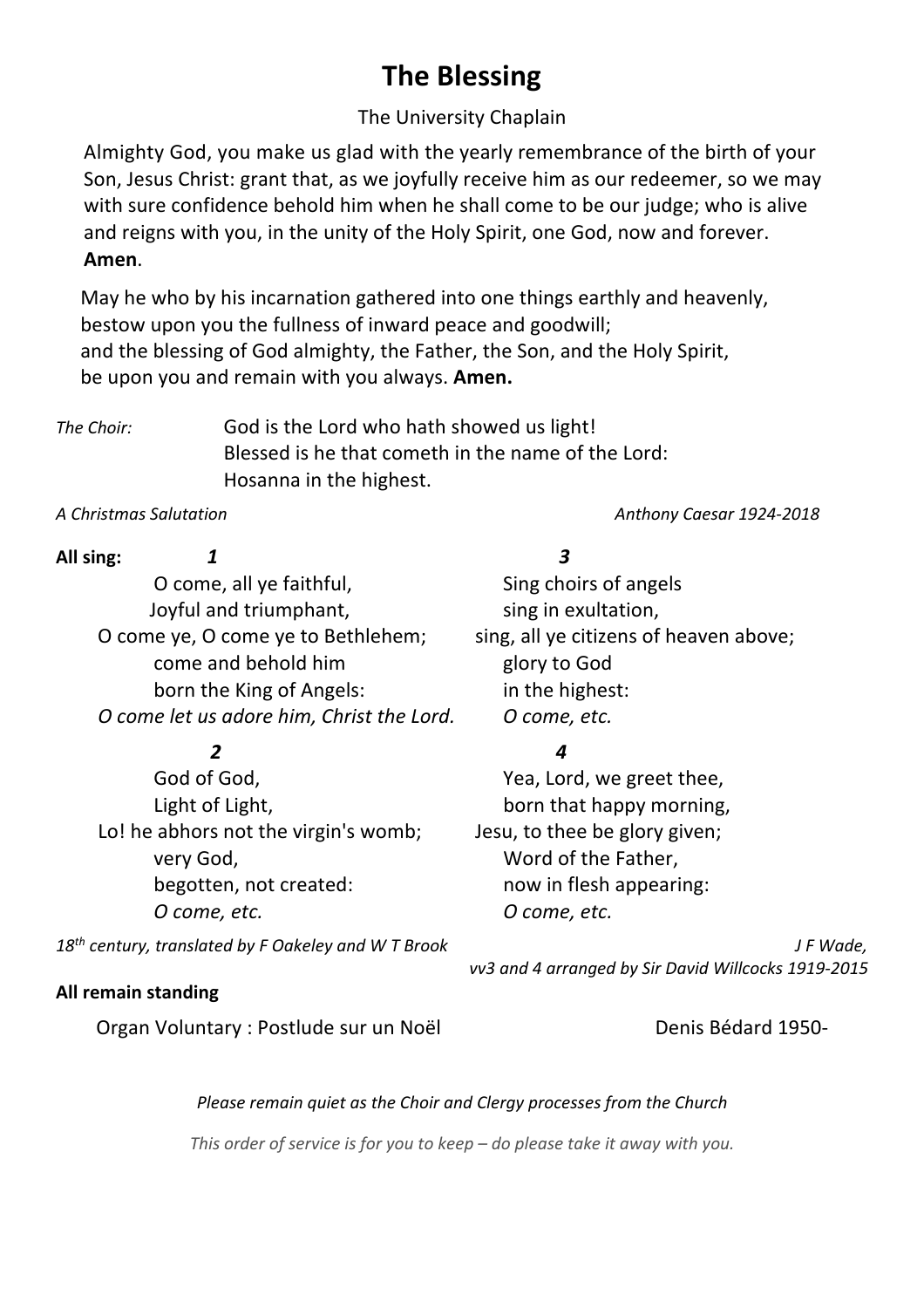# **The Blessing**

### The University Chaplain

Almighty God, you make us glad with the yearly remembrance of the birth of your Son, Jesus Christ: grant that, as we joyfully receive him as our redeemer, so we may with sure confidence behold him when he shall come to be our judge; who is alive and reigns with you, in the unity of the Holy Spirit, one God, now and forever. **Amen**.

 May he who by his incarnation gathered into one things earthly and heavenly, bestow upon you the fullness of inward peace and goodwill; and the blessing of God almighty, the Father, the Son, and the Holy Spirit, be upon you and remain with you always. **Amen.**

*The Choir:* God is the Lord who hath showed us light! Blessed is he that cometh in the name of the Lord: Hosanna in the highest.

*A Christmas Salutation Anthony Caesar 1924-2018*

| All sing: |                                           | 3                                      |  |
|-----------|-------------------------------------------|----------------------------------------|--|
|           | O come, all ye faithful,                  | Sing choirs of angels                  |  |
|           | Joyful and triumphant,                    | sing in exultation,                    |  |
|           | O come ye, O come ye to Bethlehem;        | sing, all ye citizens of heaven above; |  |
|           | come and behold him                       | glory to God                           |  |
|           | born the King of Angels:                  | in the highest:                        |  |
|           | O come let us adore him, Christ the Lord. | O come, etc.                           |  |
|           | 2                                         |                                        |  |
|           | God of God,                               | Yea, Lord, we greet thee,              |  |
|           | Light of Light,                           | born that happy morning,               |  |
|           | Lo! he abhors not the virgin's womb;      | Jesu, to thee be glory given;          |  |
|           | very God,                                 | Word of the Father,                    |  |
|           | begotten, not created:                    | now in flesh appearing:                |  |
|           | O come, etc.                              | O come, etc.                           |  |

*18th century, translated by F Oakeley and W T Brook* 

#### **All remain standing**

Organ Voluntary : Postlude sur un Noël **Denis Bédard 1950-**

 *vv3 and 4 arranged by Sir David Willcocks 1919-2015*

*J F Wade,*

#### *Please remain quiet as the Choir and Clergy processes from the Church*

*This order of service is for you to keep – do please take it away with you.*